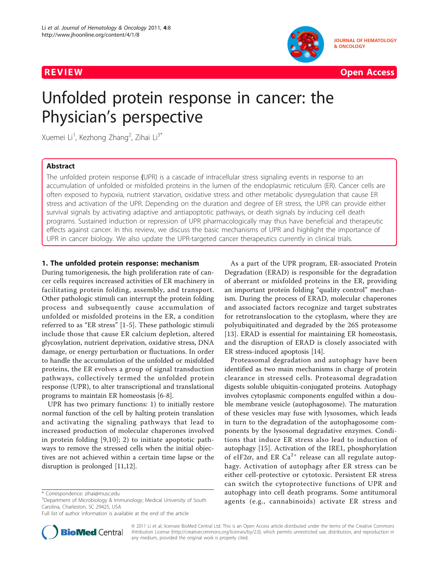

**JOURNAL OF HEMATOLOGY & ONCOLOGY**

**REVIEW CONTROL** CONTROL CONTROL CONTROL CONTROL CONTROL CONTROL CONTROL CONTROL CONTROL CONTROL CONTROL CONTROL CONTROL CONTROL CONTROL CONTROL CONTROL CONTROL CONTROL CONTROL CONTROL CONTROL CONTROL CONTROL CONTROL CONTR

# Unfolded protein response in cancer: the Physician's perspective

Xuemei Li<sup>1</sup>, Kezhong Zhang<sup>2</sup>, Zihai Li<sup>3\*</sup>

# Abstract

The unfolded protein response (UPR) is a cascade of intracellular stress signaling events in response to an accumulation of unfolded or misfolded proteins in the lumen of the endoplasmic reticulum (ER). Cancer cells are often exposed to hypoxia, nutrient starvation, oxidative stress and other metabolic dysregulation that cause ER stress and activation of the UPR. Depending on the duration and degree of ER stress, the UPR can provide either survival signals by activating adaptive and antiapoptotic pathways, or death signals by inducing cell death programs. Sustained induction or repression of UPR pharmacologically may thus have beneficial and therapeutic effects against cancer. In this review, we discuss the basic mechanisms of UPR and highlight the importance of UPR in cancer biology. We also update the UPR-targeted cancer therapeutics currently in clinical trials.

# 1. The unfolded protein response: mechanism

During tumorigenesis, the high proliferation rate of cancer cells requires increased activities of ER machinery in facilitating protein folding, assembly, and transport. Other pathologic stimuli can interrupt the protein folding process and subsequently cause accumulation of unfolded or misfolded proteins in the ER, a condition referred to as "ER stress" [\[1](#page-7-0)-[5\]](#page-7-0). These pathologic stimuli include those that cause ER calcium depletion, altered glycosylation, nutrient deprivation, oxidative stress, DNA damage, or energy perturbation or fluctuations. In order to handle the accumulation of the unfolded or misfolded proteins, the ER evolves a group of signal transduction pathways, collectively termed the unfolded protein response (UPR), to alter transcriptional and translational programs to maintain ER homeostasis [[6-8](#page-7-0)].

UPR has two primary functions: 1) to initially restore normal function of the cell by halting protein translation and activating the signaling pathways that lead to increased production of molecular chaperones involved in protein folding [[9,10\]](#page-7-0); 2) to initiate apoptotic pathways to remove the stressed cells when the initial objectives are not achieved within a certain time lapse or the disruption is prolonged [[11,12\]](#page-7-0).



Proteasomal degradation and autophagy have been identified as two main mechanisms in charge of protein clearance in stressed cells. Proteasomal degradation digests soluble ubiquitin-conjugated proteins. Autophagy involves cytoplasmic components engulfed within a double membrane vesicle (autophagosome). The maturation of these vesicles may fuse with lysosomes, which leads in turn to the degradation of the autophagosome components by the lysosomal degradative enzymes. Conditions that induce ER stress also lead to induction of autophagy [[15\]](#page-7-0). Activation of the IRE1, phosphorylation of eIF2 $\alpha$ , and ER Ca<sup>2+</sup> release can all regulate autophagy. Activation of autophagy after ER stress can be either cell-protective or cytotoxic. Persistent ER stress can switch the cytoprotective functions of UPR and autophagy into cell death programs. Some antitumoral agents (e.g., cannabinoids) activate ER stress and



© 2011 Li et al; licensee BioMed Central Ltd. This is an Open Access article distributed under the terms of the Creative Commons Attribution License [\(http://creativecommons.org/licenses/by/2.0](http://creativecommons.org/licenses/by/2.0)), which permits unrestricted use, distribution, and reproduction in any medium, provided the original work is properly cited.

<sup>\*</sup> Correspondence: [zihai@musc.edu](mailto:zihai@musc.edu)

<sup>&</sup>lt;sup>3</sup>Department of Microbiology & Immunology; Medical University of South Carolina, Charleston, SC 29425, USA

Full list of author information is available at the end of the article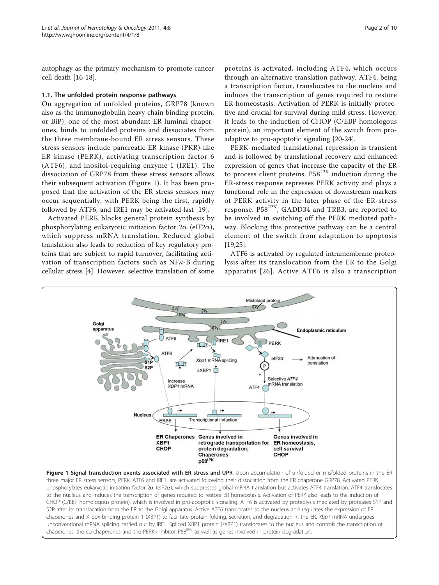autophagy as the primary mechanism to promote cancer cell death [[16](#page-7-0)-[18\]](#page-7-0).

#### 1.1. The unfolded protein response pathways

On aggregation of unfolded proteins, GRP78 (known also as the immunoglobulin heavy chain binding protein, or BiP), one of the most abundant ER luminal chaperones, binds to unfolded proteins and dissociates from the three membrane-bound ER stress sensors. These stress sensors include pancreatic ER kinase (PKR)-like ER kinase (PERK), activating transcription factor 6 (ATF6), and inositol-requiring enzyme 1 (IRE1). The dissociation of GRP78 from these stress sensors allows their subsequent activation (Figure 1). It has been proposed that the activation of the ER stress sensors may occur sequentially, with PERK being the first, rapidly followed by ATF6, and IRE1 may be activated last [\[19](#page-7-0)].

Activated PERK blocks general protein synthesis by phosphorylating eukaryotic initiation factor  $2\alpha$  (eIF2 $\alpha$ ), which suppress mRNA translation. Reduced global translation also leads to reduction of key regulatory proteins that are subject to rapid turnover, facilitating activation of transcription factors such as  $NFR-B$  during cellular stress [[4\]](#page-7-0). However, selective translation of some

proteins is activated, including ATF4, which occurs through an alternative translation pathway. ATF4, being a transcription factor, translocates to the nucleus and induces the transcription of genes required to restore ER homeostasis. Activation of PERK is initially protective and crucial for survival during mild stress. However, it leads to the induction of CHOP (C/EBP homologous protein), an important element of the switch from proadaptive to pro-apoptotic signaling [\[20](#page-7-0)-[24](#page-7-0)].

PERK-mediated translational repression is transient and is followed by translational recovery and enhanced expression of genes that increase the capacity of the ER to process client proteins.  $P58$ <sup>IPK</sup> induction during the ER-stress response represses PERK activity and plays a functional role in the expression of downstream markers of PERK activity in the later phase of the ER-stress response. P58<sup>IPK</sup>, GADD34 and TRB3, are reported to be involved in switching off the PERK mediated pathway. Blocking this protective pathway can be a central element of the switch from adaptation to apoptosis [[19,25\]](#page-7-0).

ATF6 is activated by regulated intramembrane proteolysis after its translocation from the ER to the Golgi apparatus [[26\]](#page-7-0). Active ATF6 is also a transcription



three major ER stress sensors, PERK, ATF6 and IRE1, are activated following their dissociation from the ER chaperone GRP78. Activated PERK phosphorylates eukaryotic initiation factor  $2\alpha$  (eIF2 $\alpha$ ), which suppresses global mRNA translation but activates ATF4 translation. ATF4 translocates to the nucleus and induces the transcription of genes required to restore ER homeostasis. Activation of PERK also leads to the induction of CHOP (C/EBP homologous protein), which is involved in pro-apoptotic signaling. ATF6 is activated by proteolysis mediated by proteases S1P and S2P after its translocation from the ER to the Golgi apparatus. Active ATF6 translocates to the nucleus and regulates the expression of ER chaperones and X box-binding protein 1 (XBP1) to facilitate protein folding, secretion, and degradation in the ER. Xbp1 mRNA undergoes unconventional mRNA splicing carried out by IRE1. Spliced XBP1 protein (sXBP1) translocates to the nucleus and controls the transcription of chaperones, the co-chaperones and the PERK-inhibitor P58<sup>IPK</sup>, as well as genes involved in protein degradation.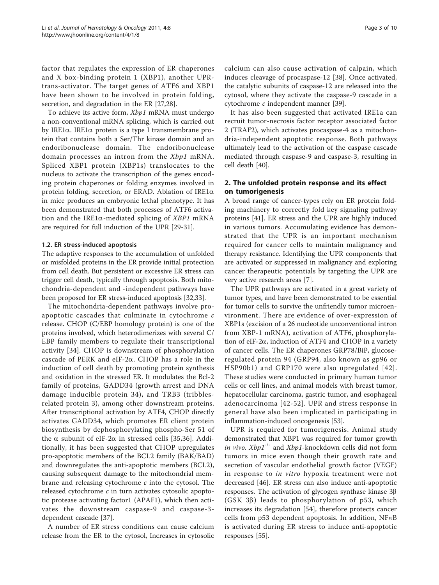factor that regulates the expression of ER chaperones and X box-binding protein 1 (XBP1), another UPRtrans-activator. The target genes of ATF6 and XBP1 have been shown to be involved in protein folding, secretion, and degradation in the ER [\[27,28](#page-7-0)].

To achieve its active form, *Xbp1* mRNA must undergo a non-conventional mRNA splicing, which is carried out by IRE1 $\alpha$ . IRE1 $\alpha$  protein is a type I transmembrane protein that contains both a Ser/Thr kinase domain and an endoribonuclease domain. The endoribonuclease domain processes an intron from the Xbp1 mRNA. Spliced XBP1 protein (XBP1s) translocates to the nucleus to activate the transcription of the genes encoding protein chaperones or folding enzymes involved in protein folding, secretion, or ERAD. Ablation of  $IRE1\alpha$ in mice produces an embryonic lethal phenotype. It has been demonstrated that both processes of ATF6 activation and the IRE1 $\alpha$ -mediated splicing of *XBP1* mRNA are required for full induction of the UPR [[29](#page-7-0)-[31\]](#page-7-0).

#### 1.2. ER stress-induced apoptosis

The adaptive responses to the accumulation of unfolded or misfolded proteins in the ER provide initial protection from cell death. But persistent or excessive ER stress can trigger cell death, typically through apoptosis. Both mitochondria-dependent and -independent pathways have been proposed for ER stress-induced apoptosis [[32,33](#page-7-0)].

The mitochondria-dependent pathways involve proapoptotic cascades that culminate in cytochrome c release. CHOP (C/EBP homology protein) is one of the proteins involved, which heterodimerizes with several C/ EBP family members to regulate their transcriptional activity [[34](#page-7-0)]. CHOP is downstream of phosphorylation cascade of PERK and eIF-2a. CHOP has a role in the induction of cell death by promoting protein synthesis and oxidation in the stressed ER. It modulates the Bcl-2 family of proteins, GADD34 (growth arrest and DNA damage inducible protein 34), and TRB3 (tribblesrelated protein 3), among other downstream proteins. After transcriptional activation by ATF4, CHOP directly activates GADD34, which promotes ER client protein biosynthesis by dephosphorylating phospho-Ser 51 of the  $\alpha$  subunit of eIF-2 $\alpha$  in stressed cells [[35,36](#page-7-0)]. Additionally, it has been suggested that CHOP upregulates pro-apoptotic members of the BCL2 family (BAK/BAD) and downregulates the anti-apoptotic members (BCL2), causing subsequent damage to the mitochondrial membrane and releasing cytochrome c into the cytosol. The released cytochrome  $c$  in turn activates cytosolic apoptotic protease activating factor1 (APAF1), which then activates the downstream caspase-9 and caspase-3 dependent cascade [[37\]](#page-7-0).

A number of ER stress conditions can cause calcium release from the ER to the cytosol, Increases in cytosolic calcium can also cause activation of calpain, which induces cleavage of procaspase-12 [[38\]](#page-7-0). Once activated, the catalytic subunits of caspase-12 are released into the cytosol, where they activate the caspase-9 cascade in a cytochrome c independent manner [[39](#page-7-0)].

It has also been suggested that activated IRE1a can recruit tumor-necrosis factor receptor associated factor 2 (TRAF2), which activates procaspase-4 as a mitochondria-independent apoptotic response. Both pathways ultimately lead to the activation of the caspase cascade mediated through caspase-9 and caspase-3, resulting in cell death [[40](#page-7-0)].

# 2. The unfolded protein response and its effect on tumorigenesis

A broad range of cancer-types rely on ER protein folding machinery to correctly fold key signaling pathway proteins [[41\]](#page-7-0). ER stress and the UPR are highly induced in various tumors. Accumulating evidence has demonstrated that the UPR is an important mechanism required for cancer cells to maintain malignancy and therapy resistance. Identifying the UPR components that are activated or suppressed in malignancy and exploring cancer therapeutic potentials by targeting the UPR are very active research areas [\[7](#page-7-0)].

The UPR pathways are activated in a great variety of tumor types, and have been demonstrated to be essential for tumor cells to survive the unfriendly tumor microenvironment. There are evidence of over-expression of XBP1s (excision of a 26 nucleotide unconventional intron from XBP-1 mRNA), activation of ATF6, phosphorylation of eIF-2 $\alpha$ , induction of ATF4 and CHOP in a variety of cancer cells. The ER chaperones GRP78/BiP, glucoseregulated protein 94 (GRP94, also known as gp96 or HSP90b1) and GRP170 were also upregulated [[42\]](#page-7-0). These studies were conducted in primary human tumor cells or cell lines, and animal models with breast tumor, hepatocellular carcinoma, gastric tumor, and esophageal adenocarcinoma [[42](#page-7-0)-[52\]](#page-8-0). UPR and stress response in general have also been implicated in participating in inflammation-induced oncogenesis [[53](#page-8-0)].

UPR is required for tumorigenesis. Animal study demonstrated that XBP1 was required for tumor growth in vivo.  $Xbp1^{-/-}$  and  $Xbp1$ -knockdown cells did not form tumors in mice even though their growth rate and secretion of vascular endothelial growth factor (VEGF) in response to in vitro hypoxia treatment were not decreased [[46\]](#page-8-0). ER stress can also induce anti-apoptotic responses. The activation of glycogen synthase kinase 3b (GSK 3 $\beta$ ) leads to phosphorylation of p53, which increases its degradation [[54\]](#page-8-0), therefore protects cancer cells from p53 dependent apoptosis. In addition,  $N F \kappa B$ is activated during ER stress to induce anti-apoptotic responses [\[55](#page-8-0)].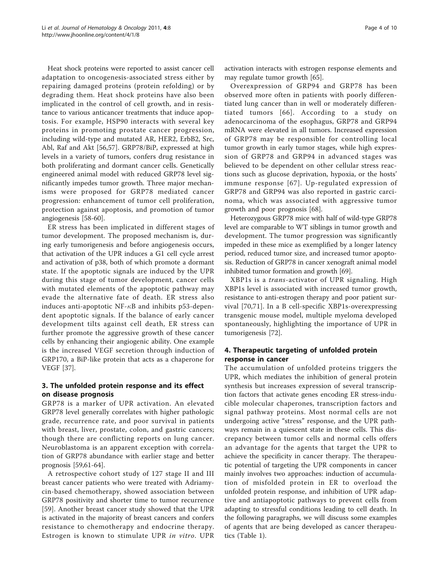Heat shock proteins were reported to assist cancer cell adaptation to oncogenesis-associated stress either by repairing damaged proteins (protein refolding) or by degrading them. Heat shock proteins have also been implicated in the control of cell growth, and in resistance to various anticancer treatments that induce apoptosis. For example, HSP90 interacts with several key proteins in promoting prostate cancer progression, including wild-type and mutated AR, HER2, ErbB2, Src, Abl, Raf and Akt [\[56](#page-8-0),[57\]](#page-8-0). GRP78/BiP, expressed at high levels in a variety of tumors, confers drug resistance in both proliferating and dormant cancer cells. Genetically engineered animal model with reduced GRP78 level significantly impedes tumor growth. Three major mechanisms were proposed for GRP78 mediated cancer progression: enhancement of tumor cell proliferation, protection against apoptosis, and promotion of tumor angiogenesis [\[58-60](#page-8-0)].

ER stress has been implicated in different stages of tumor development. The proposed mechanism is, during early tumorigenesis and before angiogenesis occurs, that activation of the UPR induces a G1 cell cycle arrest and activation of p38, both of which promote a dormant state. If the apoptotic signals are induced by the UPR during this stage of tumor development, cancer cells with mutated elements of the apoptotic pathway may evade the alternative fate of death. ER stress also induces anti-apoptotic NF- $\kappa$ B and inhibits p53-dependent apoptotic signals. If the balance of early cancer development tilts against cell death, ER stress can further promote the aggressive growth of these cancer cells by enhancing their angiogenic ability. One example is the increased VEGF secretion through induction of GRP170, a BiP-like protein that acts as a chaperone for VEGF [[37](#page-7-0)].

# 3. The unfolded protein response and its effect on disease prognosis

GRP78 is a marker of UPR activation. An elevated GRP78 level generally correlates with higher pathologic grade, recurrence rate, and poor survival in patients with breast, liver, prostate, colon, and gastric cancers; though there are conflicting reports on lung cancer. Neuroblastoma is an apparent exception with correlation of GRP78 abundance with earlier stage and better prognosis [\[59,61-64](#page-8-0)].

A retrospective cohort study of 127 stage II and III breast cancer patients who were treated with Adriamycin-based chemotherapy, showed association between GRP78 positivity and shorter time to tumor recurrence [[59\]](#page-8-0). Another breast cancer study showed that the UPR is activated in the majority of breast cancers and confers resistance to chemotherapy and endocrine therapy. Estrogen is known to stimulate UPR in vitro. UPR activation interacts with estrogen response elements and may regulate tumor growth [\[65\]](#page-8-0).

Overexpression of GRP94 and GRP78 has been observed more often in patients with poorly differentiated lung cancer than in well or moderately differentiated tumors [[66\]](#page-8-0). According to a study on adenocarcinoma of the esophagus, GRP78 and GRP94 mRNA were elevated in all tumors. Increased expression of GRP78 may be responsible for controlling local tumor growth in early tumor stages, while high expression of GRP78 and GRP94 in advanced stages was believed to be dependent on other cellular stress reactions such as glucose deprivation, hypoxia, or the hosts' immune response [[67\]](#page-8-0). Up-regulated expression of GRP78 and GRP94 was also reported in gastric carcinoma, which was associated with aggressive tumor growth and poor prognosis [[68](#page-8-0)].

Heterozygous GRP78 mice with half of wild-type GRP78 level are comparable to WT siblings in tumor growth and development. The tumor progression was significantly impeded in these mice as exemplified by a longer latency period, reduced tumor size, and increased tumor apoptosis. Reduction of GRP78 in cancer xenograft animal model inhibited tumor formation and growth [[69](#page-8-0)].

XBP1s is a trans-activator of UPR signaling. High XBP1s level is associated with increased tumor growth, resistance to anti-estrogen therapy and poor patient survival [[70,71](#page-8-0)]. In a B cell-specific XBP1s-overexpressing transgenic mouse model, multiple myeloma developed spontaneously, highlighting the importance of UPR in tumorigenesis [[72\]](#page-8-0).

# 4. Therapeutic targeting of unfolded protein response in cancer

The accumulation of unfolded proteins triggers the UPR, which mediates the inhibition of general protein synthesis but increases expression of several transcription factors that activate genes encoding ER stress-inducible molecular chaperones, transcription factors and signal pathway proteins. Most normal cells are not undergoing active "stress" response, and the UPR pathways remain in a quiescent state in these cells. This discrepancy between tumor cells and normal cells offers an advantage for the agents that target the UPR to achieve the specificity in cancer therapy. The therapeutic potential of targeting the UPR components in cancer mainly involves two approaches: induction of accumulation of misfolded protein in ER to overload the unfolded protein response, and inhibition of UPR adaptive and antiapoptotic pathways to prevent cells from adapting to stressful conditions leading to cell death. In the following paragraphs, we will discuss some examples of agents that are being developed as cancer therapeutics (Table [1](#page-4-0)).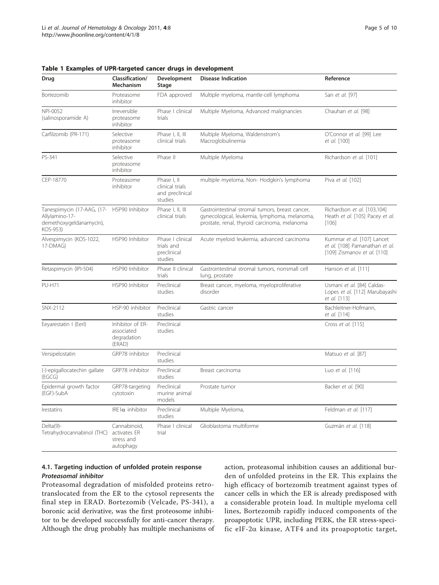| Drug                                                                                | Classification/<br>Mechanism                            | Development<br>Stage                                         | <b>Disease Indication</b>                                                                                                                       | Reference                                                                                   |
|-------------------------------------------------------------------------------------|---------------------------------------------------------|--------------------------------------------------------------|-------------------------------------------------------------------------------------------------------------------------------------------------|---------------------------------------------------------------------------------------------|
| <b>Bortezomib</b>                                                                   | Proteasome<br>inhibitor                                 | FDA approved                                                 | Multiple myeloma, mantle-cell lymphoma                                                                                                          | San et al. [97]                                                                             |
| <b>NPI-0052</b><br>(salinosporamide A)                                              | Irreversible<br>proteasome<br>inhibitor                 | Phase I clinical<br>trials                                   | Multiple Myeloma, Advanced malignancies                                                                                                         | Chauhan et al. [98]                                                                         |
| Carfilzomib (PR-171)                                                                | Selective<br>proteasome<br>inhibitor                    | Phase I, II, III<br>clinical trials                          | Multiple Myeloma, Waldenstrom's<br>Macroglobulinemia                                                                                            | O'Connor et al. [99] Lee<br>et al. [100]                                                    |
| PS-341                                                                              | Selective<br>proteasome<br>inhibitor                    | Phase II                                                     | Multiple Myeloma                                                                                                                                | Richardson et al. [101]                                                                     |
| CEP-18770                                                                           | Proteasome<br>inhibitor                                 | Phase I, II<br>clinical trials<br>and preclinical<br>studies | multiple myeloma, Non-Hodgkin's lymphoma                                                                                                        | Piva et al. [102]                                                                           |
| Tanespimycin (17-AAG, (17-<br>Allylamino-17-<br>demethoxygeldanamycin),<br>KOS-953) | HSP90 Inhibitor                                         | Phase I, II, III<br>clinical trials                          | Gastrointestinal stromal tumors, breast cancer,<br>gynecological, leukemia, lymphoma, melanoma,<br>prostate, renal, thyroid carcinoma, melanoma | Richardson et al. [103,104]<br>Heath et al. [105] Pacey et al.<br>[106]                     |
| Alvespimycin (KOS-1022,<br>17-DMAG)                                                 | HSP90 Inhibitor                                         | Phase I clinical<br>trials and<br>preclinical<br>studies     | Acute myeloid leukemia, advanced carcinoma                                                                                                      | Kummar et al. [107] Lancet<br>et al. [108] Pamanathan et al.<br>[109] Zismanov et al. [110] |
| Retaspimycin (IPI-504)                                                              | HSP90 Inhibitor                                         | Phase II clinical<br>trials                                  | Gastrointestinal stromal tumors, nonsmall cell<br>lung, prostate                                                                                | Hanson et al. [111]                                                                         |
| PU-H71                                                                              | HSP90 Inhibitor                                         | Preclinical<br>studies                                       | Breast cancer, myeloma, myeloproliferative<br>disorder                                                                                          | Usmani et al. [84] Caldas-<br>Lopes et al. [112] Marubayashi<br>et al. [113]                |
| SNX-2112                                                                            | HSP-90 inhibitor                                        | Preclinical<br>studies                                       | Gastric cancer                                                                                                                                  | Bachleitner-Hofmann,<br>et al. [114]                                                        |
| Eeyarestatin I (Eerl)                                                               | Inhibitor of ER-<br>associated<br>degradation<br>(ERAD) | Preclinical<br>studies                                       |                                                                                                                                                 | Cross et al. [115]                                                                          |
| Versipelostatin                                                                     | GRP78 inhibitor                                         | Preclinical<br>studies                                       |                                                                                                                                                 | Matsuo et al. [87]                                                                          |
| (-)-epigallocatechin gallate<br>(EGCG)                                              | GRP78 inhibitor                                         | Preclinical<br>studies                                       | Breast carcinoma                                                                                                                                | Luo et al. [116]                                                                            |
| Epidermal growth factor<br>(EGF)-SubA                                               | GRP78-targeting<br>cytotoxin                            | Preclinical<br>murine animal<br>models                       | Prostate tumor                                                                                                                                  | Backer et al. [90]                                                                          |
| Irestatins                                                                          | $IRE1\alpha$ inhibitor                                  | Preclinical<br>studies                                       | Multiple Myeloma,                                                                                                                               | Feldman et al. [117]                                                                        |
| Delta(9)-<br>Tetrahydrocannabinol (THC)                                             | Cannabinoid,<br>activates ER<br>stress and<br>autophagy | Phase I clinical<br>trial                                    | Glioblastoma multiforme                                                                                                                         | Guzmán et al. [118]                                                                         |

#### <span id="page-4-0"></span>Table 1 Examples of UPR-targeted cancer drugs in development

#### 4.1. Targeting induction of unfolded protein response Proteasomal inhibitor

Proteasomal degradation of misfolded proteins retrotranslocated from the ER to the cytosol represents the final step in ERAD. Bortezomib (Velcade, PS-341), a boronic acid derivative, was the first proteosome inhibitor to be developed successfully for anti-cancer therapy. Although the drug probably has multiple mechanisms of action, proteasomal inhibition causes an additional burden of unfolded proteins in the ER. This explains the high efficacy of bortezomib treatment against types of cancer cells in which the ER is already predisposed with a considerable protein load. In multiple myeloma cell lines, Bortezomib rapidly induced components of the proapoptotic UPR, including PERK, the ER stress-specific eIF-2 $\alpha$  kinase, ATF4 and its proapoptotic target,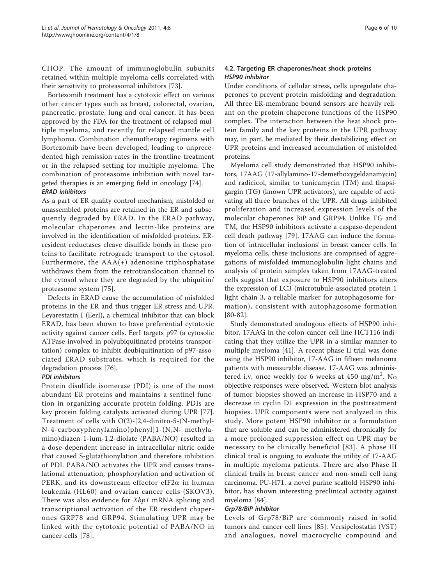CHOP. The amount of immunoglobulin subunits retained within multiple myeloma cells correlated with their sensitivity to proteasomal inhibitors [\[73\]](#page-8-0).

Bortezomib treatment has a cytotoxic effect on various other cancer types such as breast, colorectal, ovarian, pancreatic, prostate, lung and oral cancer. It has been approved by the FDA for the treatment of relapsed multiple myeloma, and recently for relapsed mantle cell lymphoma. Combination chemotherapy regimens with Bortezomib have been developed, leading to unprecedented high remission rates in the frontline treatment or in the relapsed setting for multiple myeloma. The combination of proteasome inhibition with novel targeted therapies is an emerging field in oncology [\[74](#page-8-0)].

#### ERAD inhibitors

As a part of ER quality control mechanism, misfolded or unassembled proteins are retained in the ER and subsequently degraded by ERAD. In the ERAD pathway, molecular chaperones and lectin-like proteins are involved in the identification of misfolded proteins. ERresident reductases cleave disulfide bonds in these proteins to facilitate retrograde transport to the cytosol. Furthermore, the  $AAA(+)$  adenosine triphosphatase withdraws them from the retrotranslocation channel to the cytosol where they are degraded by the ubiquitin/ proteasome system [\[75\]](#page-8-0).

Defects in ERAD cause the accumulation of misfolded proteins in the ER and thus trigger ER stress and UPR. Eeyarestatin I (EerI), a chemical inhibitor that can block ERAD, has been shown to have preferential cytotoxic activity against cancer cells. EerI targets p97 (a cytosolic ATPase involved in polyubiquitinated proteins transportation) complex to inhibit deubiquitination of p97-associated ERAD substrates, which is required for the degradation process [[76](#page-8-0)].

#### PDI inhibitors

Protein disulfide isomerase (PDI) is one of the most abundant ER proteins and maintains a sentinel function in organizing accurate protein folding. PDIs are key protein folding catalysts activated during UPR [\[77](#page-8-0)]. Treatment of cells with O(2)-[2,4-dinitro-5-(N-methyl-N-4-carboxyphenylamino)phenyl]1-(N,N- methylamino)diazen-1-ium-1,2-diolate (PABA/NO) resulted in a dose-dependent increase in intracellular nitric oxide that caused S-glutathionylation and therefore inhibition of PDI. PABA/NO activates the UPR and causes translational attenuation, phosphorylation and activation of PERK, and its downstream effector eIF2 $\alpha$  in human leukemia (HL60) and ovarian cancer cells (SKOV3). There was also evidence for *Xbp1* mRNA splicing and transcriptional activation of the ER resident chaperones GRP78 and GRP94. Stimulating UPR may be linked with the cytotoxic potential of PABA/NO in cancer cells [[78\]](#page-8-0).

#### 4.2. Targeting ER chaperones/heat shock proteins HSP90 inhibitor

Under conditions of cellular stress, cells upregulate chaperones to prevent protein misfolding and degradation. All three ER-membrane bound sensors are heavily reliant on the protein chaperone functions of the HSP90 complex. The interaction between the heat shock protein family and the key proteins in the UPR pathway may, in part, be mediated by their destabilizing effect on UPR proteins and increased accumulation of misfolded proteins.

Myeloma cell study demonstrated that HSP90 inhibitors, 17AAG (17-allylamino-17-demethoxygeldanamycin) and radicicol, similar to tunicamycin (TM) and thapsigargin (TG) (known UPR activators), are capable of activating all three branches of the UPR. All drugs inhibited proliferation and increased expression levels of the molecular chaperones BiP and GRP94. Unlike TG and TM, the HSP90 inhibitors activate a caspase-dependent cell death pathway [\[79](#page-8-0)]. 17AAG can induce the formation of 'intracellular inclusions' in breast cancer cells. In myeloma cells, these inclusions are comprised of aggregations of misfolded immunoglobulin light chains and analysis of protein samples taken from 17AAG-treated cells suggest that exposure to HSP90 inhibitors alters the expression of LC3 (microtubule-associated protein 1 light chain 3, a reliable marker for autophagosome formation), consistent with autophagosome formation [[80-82\]](#page-8-0).

Study demonstrated analogous effects of HSP90 inhibitor, 17AAG in the colon cancer cell line HCT116 indicating that they utilize the UPR in a similar manner to multiple myeloma [[41\]](#page-7-0). A recent phase II trial was done using the HSP90 inhibitor, 17-AAG in fifteen melanoma patients with measurable disease. 17-AAG was administered i.v. once weekly for 6 weeks at  $450$  mg/m<sup>2</sup>. No objective responses were observed. Western blot analysis of tumor biopsies showed an increase in HSP70 and a decrease in cyclin D1 expression in the posttreatment biopsies. UPR components were not analyzed in this study. More potent HSP90 inhibitor or a formulation that are soluble and can be administered chronically for a more prolonged suppression effect on UPR may be necessary to be clinically beneficial [[83](#page-8-0)]. A phase III clinical trial is ongoing to evaluate the utility of 17-AAG in multiple myeloma patients. There are also Phase II clinical trails in breast cancer and non-small cell lung carcinoma. PU-H71, a novel purine scaffold HSP90 inhibitor, has shown interesting preclinical activity against myeloma [\[84\]](#page-8-0).

#### Grp78/BiP inhibitor

Levels of Grp78/BiP are commonly raised in solid tumors and cancer cell lines [[85\]](#page-8-0). Versipelostatin (VST) and analogues, novel macrocyclic compound and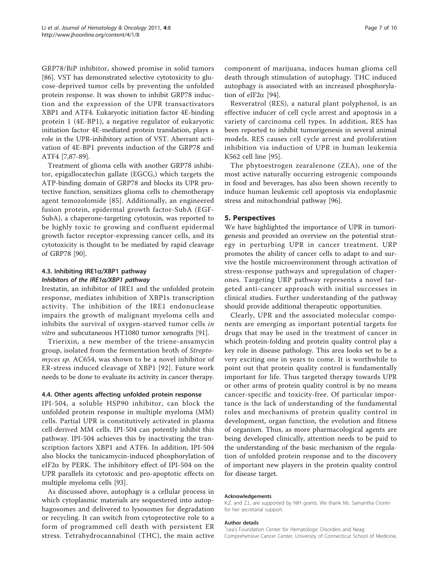GRP78/BiP inhibitor, showed promise in solid tumors [[86\]](#page-8-0). VST has demonstrated selective cytotoxicity to glucose-deprived tumor cells by preventing the unfolded protein response. It was shown to inhibit GRP78 induction and the expression of the UPR transactivators XBP1 and ATF4. Eukaryotic initiation factor 4E-binding protein 1 (4E-BP1), a negative regulator of eukaryotic initiation factor 4E-mediated protein translation, plays a role in the UPR-inhibitory action of VST. Aberrant activation of 4E-BP1 prevents induction of the GRP78 and ATF4 [[7](#page-7-0)[,87](#page-9-0)-[89\]](#page-9-0).

Treatment of glioma cells with another GRP78 inhibitor, epigallocatechin gallate (EGCG,) which targets the ATP-binding domain of GRP78 and blocks its UPR protective function, sensitizes glioma cells to chemotherapy agent temozolomide [[85\]](#page-8-0). Additionally, an engineered fusion protein, epidermal growth factor-SubA (EGF-SubA), a chaperone-targeting cytotoxin, was reported to be highly toxic to growing and confluent epidermal growth factor receptor-expressing cancer cells, and its cytotoxicity is thought to be mediated by rapid cleavage of GRP78 [[90\]](#page-9-0).

# 4.3. Inhibiting IRE1a/XBP1 pathway Inhibitors of the IRE1 $\alpha$ /XBP1 pathway

Irestatin, an inhibitor of IRE1 and the unfolded protein response, mediates inhibition of XBP1s transcription activity. The inhibition of the IRE1 endonuclease impairs the growth of malignant myeloma cells and inhibits the survival of oxygen-starved tumor cells in *vitro* and subcutaneous HT1080 tumor xenografts [\[91\]](#page-9-0).

Trierixin, a new member of the triene-ansamycin group, isolated from the fermentation broth of Streptomyces sp. AC654, was shown to be a novel inhibitor of ER-stress induced cleavage of XBP1 [\[92\]](#page-9-0). Future work needs to be done to evaluate its activity in cancer therapy.

# 4.4. Other agents affecting unfolded protein response

IPI-504, a soluble HSP90 inhibitor, can block the unfolded protein response in multiple myeloma (MM) cells. Partial UPR is constitutively activated in plasma cell-derived MM cells. IPI-504 can potently inhibit this pathway. IPI-504 achieves this by inactivating the transcription factors XBP1 and ATF6. In addition, IPI-504 also blocks the tunicamycin-induced phosphorylation of eIF2 $\alpha$  by PERK. The inhibitory effect of IPI-504 on the UPR parallels its cytotoxic and pro-apoptotic effects on multiple myeloma cells [[93\]](#page-9-0).

As discussed above, autophagy is a cellular process in which cytoplasmic materials are sequestered into autophagosomes and delivered to lysosomes for degradation or recycling. It can switch from cytoprotective role to a form of programmed cell death with persistent ER stress. Tetrahydrocannabinol (THC), the main active component of marijuana, induces human glioma cell death through stimulation of autophagy. THC induced autophagy is associated with an increased phosphorylation of eIF2 $\alpha$  [\[94](#page-9-0)].

Resveratrol (RES), a natural plant polyphenol, is an effective inducer of cell cycle arrest and apoptosis in a variety of carcinoma cell types. In addition, RES has been reported to inhibit tumorigenesis in several animal models. RES causes cell cycle arrest and proliferation inhibition via induction of UPR in human leukemia K562 cell line [\[95](#page-9-0)].

The phytoestrogen zearalenone (ZEA), one of the most active naturally occurring estrogenic compounds in food and beverages, has also been shown recently to induce human leukemic cell apoptosis via endoplasmic stress and mitochondrial pathway [\[96\]](#page-9-0).

#### 5. Perspectives

We have highlighted the importance of UPR in tumorigenesis and provided an overview on the potential strategy in perturbing UPR in cancer treatment. URP promotes the ability of cancer cells to adapt to and survive the hostile microenvironment through activation of stress-response pathways and upregulation of chaperones. Targeting URP pathway represents a novel targeted anti-cancer approach with initial successes in clinical studies. Further understanding of the pathway should provide additional therapeutic opportunities.

Clearly, UPR and the associated molecular components are emerging as important potential targets for drugs that may be used in the treatment of cancer in which protein-folding and protein quality control play a key role in disease pathology. This area looks set to be a very exciting one in years to come. It is worthwhile to point out that protein quality control is fundamentally important for life. Thus targeted therapy towards UPR or other arms of protein quality control is by no means cancer-specific and toxicity-free. Of particular importance is the lack of understanding of the fundamental roles and mechanisms of protein quality control in development, organ function, the evolution and fitness of organism. Thus, as more pharmacological agents are being developed clinically, attention needs to be paid to the understanding of the basic mechanism of the regulation of unfolded protein response and to the discovery of important new players in the protein quality control for disease target.

#### Acknowledgements

K.Z. and Z.L. are supported by NIH grants. We thank Ms. Samantha Cronin for her secretarial support.

#### Author details

<sup>1</sup> Lea's Foundation Center for Hematologic Disorders and Neag Comprehensive Cancer Center, University of Connecticut School of Medicine,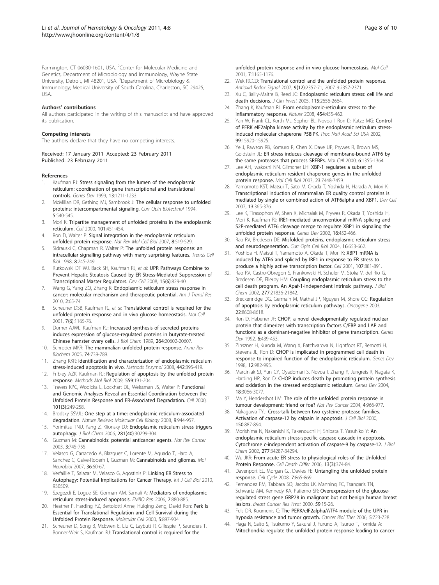<span id="page-7-0"></span>Farmington, CT 06030-1601, USA. <sup>2</sup>Center for Molecular Medicine and Genetics, Department of Microbiology and Immunology, Wayne State University, Detroit, MI 48201, USA. <sup>3</sup>Department of Microbiology & Immunology; Medical University of South Carolina, Charleston, SC 29425, USA.

#### Authors' contributions

All authors participated in the writing of this manuscript and have approved its publication.

#### Competing interests

The authors declare that they have no competing interests.

Received: 17 January 2011 Accepted: 23 February 2011 Published: 23 February 2011

#### References

- Kaufman RJ: [Stress signaling from the lumen of the endoplasmic](http://www.ncbi.nlm.nih.gov/pubmed/10346810?dopt=Abstract) [reticulum: coordination of gene transcriptional and translational](http://www.ncbi.nlm.nih.gov/pubmed/10346810?dopt=Abstract) [controls.](http://www.ncbi.nlm.nih.gov/pubmed/10346810?dopt=Abstract) Genes Dev 1999, 13:1211-1233.
- 2. McMillan DR, Gething MJ, Sambrook J: [The cellular response to unfolded](http://www.ncbi.nlm.nih.gov/pubmed/7765470?dopt=Abstract) [proteins: intercompartmental signaling.](http://www.ncbi.nlm.nih.gov/pubmed/7765470?dopt=Abstract) Curr Opin Biotechnol 1994, 5:540-545.
- 3. Mori K: [Tripartite management of unfolded proteins in the endoplasmic](http://www.ncbi.nlm.nih.gov/pubmed/10850487?dopt=Abstract) [reticulum.](http://www.ncbi.nlm.nih.gov/pubmed/10850487?dopt=Abstract) Cell 2000, 101:451-454.
- 4. Ron D, Walter P: [Signal integration in the endoplasmic reticulum](http://www.ncbi.nlm.nih.gov/pubmed/17565364?dopt=Abstract) [unfolded protein response.](http://www.ncbi.nlm.nih.gov/pubmed/17565364?dopt=Abstract) Nat Rev Mol Cell Biol 2007, 8:519-529.
- 5. Sidrauski C, Chapman R, Walter P: [The unfolded protein response: an](http://www.ncbi.nlm.nih.gov/pubmed/9695849?dopt=Abstract) [intracellular signalling pathway with many surprising features.](http://www.ncbi.nlm.nih.gov/pubmed/9695849?dopt=Abstract) Trends Cell Biol 1998, 8:245-249.
- 6. Rutkowski DT WJ, Back SH, Kaufman RJ, et al: [UPR Pathways Combine to](http://www.ncbi.nlm.nih.gov/pubmed/19081072?dopt=Abstract) [Prevent Hepatic Steatosis Caused by ER Stress-Mediated Suppression of](http://www.ncbi.nlm.nih.gov/pubmed/19081072?dopt=Abstract) [Transcriptional Master Regulators.](http://www.ncbi.nlm.nih.gov/pubmed/19081072?dopt=Abstract) Dev Cell 2008, 15(6):829-40.
- Wang G, Yang ZQ, Zhang K: [Endoplasmic reticulum stress response in](http://www.ncbi.nlm.nih.gov/pubmed/20182583?dopt=Abstract) [cancer: molecular mechanism and therapeutic potential.](http://www.ncbi.nlm.nih.gov/pubmed/20182583?dopt=Abstract) Am J Transl Res 2010, 2:65-74.
- Scheuner DSB, Kaufman RJ, et al: [Translational control is required for the](http://www.ncbi.nlm.nih.gov/pubmed/11430820?dopt=Abstract) [unfolded protein response and in vivo glucose homeostasis.](http://www.ncbi.nlm.nih.gov/pubmed/11430820?dopt=Abstract) Mol Cell 2001, 7(6):1165-76.
- 9. Dorner AJWL, Kaufman RJ: [Increased synthesis of secreted proteins](http://www.ncbi.nlm.nih.gov/pubmed/2511206?dopt=Abstract) [induces expression of glucose-regulated proteins in butyrate-treated](http://www.ncbi.nlm.nih.gov/pubmed/2511206?dopt=Abstract) [Chinese hamster ovary cells.](http://www.ncbi.nlm.nih.gov/pubmed/2511206?dopt=Abstract) J Biol Chem 1989, 264:20602-20607.
- 10. Schroder MKR: [The mammalian unfolded protein response.](http://www.ncbi.nlm.nih.gov/pubmed/15952902?dopt=Abstract) Annu Rev Biochem 2005, 74:739-789.
- 11. Zhang KKR: [Identification and characterization of endoplasmic reticulum](http://www.ncbi.nlm.nih.gov/pubmed/18662581?dopt=Abstract) [stress-induced apoptosis in vivo.](http://www.ncbi.nlm.nih.gov/pubmed/18662581?dopt=Abstract) Methods Enzymol 2008, 442:395-419.
- 12. Fribley AZK, Kaufman RJ: [Regulation of apoptosis by the unfolded protein](http://www.ncbi.nlm.nih.gov/pubmed/19609758?dopt=Abstract) [response.](http://www.ncbi.nlm.nih.gov/pubmed/19609758?dopt=Abstract) Methods Mol Biol 2009, 559:191-204.
- 13. Travers KPC, Wodicka L, Lockhart DL, Weissman JS, Walter P: [Functional](http://www.ncbi.nlm.nih.gov/pubmed/10847680?dopt=Abstract) [and Genomic Analyses Reveal an Essential Coordination between the](http://www.ncbi.nlm.nih.gov/pubmed/10847680?dopt=Abstract) [Unfolded Protein Response and ER-Associated Degradation.](http://www.ncbi.nlm.nih.gov/pubmed/10847680?dopt=Abstract) Cell 2000, 101(3):249-258.
- 14. Brodsky SSVJL: [One step at a time: endoplasmic reticulum-associated](http://www.ncbi.nlm.nih.gov/pubmed/19002207?dopt=Abstract) [degradation.](http://www.ncbi.nlm.nih.gov/pubmed/19002207?dopt=Abstract) Nature Reviews Molecular Cell Biology 2008, 9:944-957.
- 15. Yorimitsu TNU, Yang Z, Klionsky DJ: [Endoplasmic reticulum stress triggers](http://www.ncbi.nlm.nih.gov/pubmed/16901900?dopt=Abstract) [autophagy.](http://www.ncbi.nlm.nih.gov/pubmed/16901900?dopt=Abstract) J Biol Chem 2006, 281(40):30299-304.
- 16. Guzman M: [Cannabinoids: potential anticancer agents.](http://www.ncbi.nlm.nih.gov/pubmed/14570037?dopt=Abstract) Nat Rev Cancer 2003, 3:745-755.
- 17. Velasco G, Carracedo A, Blazquez C, Lorente M, Aguado T, Haro A, Sanchez C, Galve-Roperh I, Guzman M: [Cannabinoids and gliomas.](http://www.ncbi.nlm.nih.gov/pubmed/17952650?dopt=Abstract) Mol Neurobiol 2007, 36:60-67.
- 18. Verfaillie T, Salazar M, Velasco G, Agostinis P: [Linking ER Stress to](http://www.ncbi.nlm.nih.gov/pubmed/20145727?dopt=Abstract) [Autophagy: Potential Implications for Cancer Therapy.](http://www.ncbi.nlm.nih.gov/pubmed/20145727?dopt=Abstract) Int J Cell Biol 2010, 930509.
- 19. Szegezdi E, Logue SE, Gorman AM, Samali A: [Mediators of endoplasmic](http://www.ncbi.nlm.nih.gov/pubmed/16953201?dopt=Abstract) [reticulum stress-induced apoptosis.](http://www.ncbi.nlm.nih.gov/pubmed/16953201?dopt=Abstract) EMBO Rep 2006, 7:880-885.
- 20. Heather P, Harding YZ, Bertolotti Anne, Huiqing Zeng, David Ron: [Perk Is](http://www.ncbi.nlm.nih.gov/pubmed/10882126?dopt=Abstract) [Essential for Translational Regulation and Cell Survival during the](http://www.ncbi.nlm.nih.gov/pubmed/10882126?dopt=Abstract) [Unfolded Protein Response.](http://www.ncbi.nlm.nih.gov/pubmed/10882126?dopt=Abstract) Molecular Cell 2000, 5:897-904.
- 21. Scheuner D, Song B, McEwen E, Liu C, Laybutt R, Gillespie P, Saunders T, Bonner-Weir S, Kaufman RJ: [Translational control is required for the](http://www.ncbi.nlm.nih.gov/pubmed/11430820?dopt=Abstract)

[unfolded protein response and in vivo glucose homeostasis.](http://www.ncbi.nlm.nih.gov/pubmed/11430820?dopt=Abstract) Mol Cell 2001, 7:1165-1176.

- 22. Wek RCCD: [Translational control and the unfolded protein response.](http://www.ncbi.nlm.nih.gov/pubmed/17760508?dopt=Abstract) Antioxid Redox Signal 2007, 9(12):2357-71, 2007 9:2357-2371.
- 23. Xu C, Bailly-Maitre B, Reed JC: [Endoplasmic reticulum stress: cell life and](http://www.ncbi.nlm.nih.gov/pubmed/16200199?dopt=Abstract) [death decisions.](http://www.ncbi.nlm.nih.gov/pubmed/16200199?dopt=Abstract) J Clin Invest 2005, 115:2656-2664.
- 24. Zhang K, Kaufman RJ: [From endoplasmic-reticulum stress to the](http://www.ncbi.nlm.nih.gov/pubmed/18650916?dopt=Abstract) [inflammatory response.](http://www.ncbi.nlm.nih.gov/pubmed/18650916?dopt=Abstract) Nature 2008, 454:455-462.
- 25. Yan W, Frank CL, Korth MJ, Sopher BL, Novoa I, Ron D, Katze MG: [Control](http://www.ncbi.nlm.nih.gov/pubmed/12446838?dopt=Abstract) [of PERK eIF2alpha kinase activity by the endoplasmic reticulum stress](http://www.ncbi.nlm.nih.gov/pubmed/12446838?dopt=Abstract)[induced molecular chaperone P58IPK.](http://www.ncbi.nlm.nih.gov/pubmed/12446838?dopt=Abstract) Proc Natl Acad Sci USA 2002, 99:15920-15925.
- 26. Ye J, Rawson RB, Komuro R, Chen X, Dave UP, Prywes R, Brown MS, Goldstein JL: [ER stress induces cleavage of membrane-bound ATF6 by](http://www.ncbi.nlm.nih.gov/pubmed/11163209?dopt=Abstract) [the same proteases that process SREBPs.](http://www.ncbi.nlm.nih.gov/pubmed/11163209?dopt=Abstract) Mol Cell 2000, 6:1355-1364.
- 27. Lee AH, Iwakoshi NN, Glimcher LH: [XBP-1 regulates a subset of](http://www.ncbi.nlm.nih.gov/pubmed/14559994?dopt=Abstract) [endoplasmic reticulum resident chaperone genes in the unfolded](http://www.ncbi.nlm.nih.gov/pubmed/14559994?dopt=Abstract) [protein response.](http://www.ncbi.nlm.nih.gov/pubmed/14559994?dopt=Abstract) Mol Cell Biol 2003, 23:7448-7459.
- 28. Yamamoto KST, Matsui T, Sato M, Okada T, Yoshida H, Harada A, Mori K: [Transcriptional induction of mammalian ER quality control proteins is](http://www.ncbi.nlm.nih.gov/pubmed/17765680?dopt=Abstract) [mediated by single or combined action of ATF6alpha and XBP1.](http://www.ncbi.nlm.nih.gov/pubmed/17765680?dopt=Abstract) Dev Cell 2007, 13:365-376.
- 29. Lee K, Tirasophon W, Shen X, Michalak M, Prywes R, Okada T, Yoshida H, Mori K, Kaufman RJ: [IRE1-mediated unconventional mRNA splicing and](http://www.ncbi.nlm.nih.gov/pubmed/11850408?dopt=Abstract) S<sub>2P</sub>-mediated ATF6 cleavage merge to regulate XBP1 in signaling the [unfolded protein response.](http://www.ncbi.nlm.nih.gov/pubmed/11850408?dopt=Abstract) Genes Dev 2002, 16:452-466.
- 30. Rao RV, Bredesen DE: [Misfolded proteins, endoplasmic reticulum stress](http://www.ncbi.nlm.nih.gov/pubmed/15530777?dopt=Abstract) [and neurodegeneration.](http://www.ncbi.nlm.nih.gov/pubmed/15530777?dopt=Abstract) Curr Opin Cell Biol 2004, 16:653-662.
- 31. Yoshida H, Matsui T, Yamamoto A, Okada T, Mori K: [XBP1 mRNA is](http://www.ncbi.nlm.nih.gov/pubmed/11779464?dopt=Abstract) [induced by ATF6 and spliced by IRE1 in response to ER stress to](http://www.ncbi.nlm.nih.gov/pubmed/11779464?dopt=Abstract) [produce a highly active transcription factor.](http://www.ncbi.nlm.nih.gov/pubmed/11779464?dopt=Abstract) Cell 2001, 107:881-891.
- 32. Rao RV, Castro-Obregon S, Frankowski H, Schuler M, Stoka V, del Rio G, Bredesen DE, Ellerby HM: [Coupling endoplasmic reticulum stress to the](http://www.ncbi.nlm.nih.gov/pubmed/11919205?dopt=Abstract) [cell death program. An Apaf-1-independent intrinsic pathway.](http://www.ncbi.nlm.nih.gov/pubmed/11919205?dopt=Abstract) J Biol Chem 2002, 277:21836-21842.
- 33. Breckenridge DG, Germain M, Mathai JP, Nguyen M, Shore GC: [Regulation](http://www.ncbi.nlm.nih.gov/pubmed/14634622?dopt=Abstract) [of apoptosis by endoplasmic reticulum pathways.](http://www.ncbi.nlm.nih.gov/pubmed/14634622?dopt=Abstract) Oncogene 2003, 22:8608-8618.
- 34. Ron D, Habener JF: [CHOP, a novel developmentally regulated nuclear](http://www.ncbi.nlm.nih.gov/pubmed/1547942?dopt=Abstract) [protein that dimerizes with transcription factors C/EBP and LAP and](http://www.ncbi.nlm.nih.gov/pubmed/1547942?dopt=Abstract) [functions as a dominant-negative inhibitor of gene transcription.](http://www.ncbi.nlm.nih.gov/pubmed/1547942?dopt=Abstract) Genes Dev 1992, 6:439-453.
- 35. Zinszner H, Kuroda M, Wang X, Batchvarova N, Lightfoot RT, Remotti H, Stevens JL, Ron D: [CHOP is implicated in programmed cell death in](http://www.ncbi.nlm.nih.gov/pubmed/9531536?dopt=Abstract) [response to impaired function of the endoplasmic reticulum.](http://www.ncbi.nlm.nih.gov/pubmed/9531536?dopt=Abstract) Genes Dev 1998, 12:982-995.
- 36. Marciniak SJ, Yun CY, Oyadomari S, Novoa I, Zhang Y, Jungreis R, Nagata K, Harding HP, Ron D: [CHOP induces death by promoting protein synthesis](http://www.ncbi.nlm.nih.gov/pubmed/15601821?dopt=Abstract) [and oxidation in the stressed endoplasmic reticulum.](http://www.ncbi.nlm.nih.gov/pubmed/15601821?dopt=Abstract) Genes Dev 2004, 18:3066-3077.
- 37. Ma Y, Hendershot LM: [The role of the unfolded protein response in](http://www.ncbi.nlm.nih.gov/pubmed/15573118?dopt=Abstract) [tumour development: friend or foe?](http://www.ncbi.nlm.nih.gov/pubmed/15573118?dopt=Abstract) Nat Rev Cancer 2004, 4:966-977.
- Nakagawa TYJ: [Cross-talk between two cysteine protease families.](http://www.ncbi.nlm.nih.gov/pubmed/10953012?dopt=Abstract) [Activation of caspase-12 by calpain in apoptosis.](http://www.ncbi.nlm.nih.gov/pubmed/10953012?dopt=Abstract) *J Cell Biol 2000*, 150:887-894.
- 39. Morishima N, Nakanishi K, Takenouchi H, Shibata T, Yasuhiko Y: [An](http://www.ncbi.nlm.nih.gov/pubmed/12097332?dopt=Abstract) [endoplasmic reticulum stress-specific caspase cascade in apoptosis.](http://www.ncbi.nlm.nih.gov/pubmed/12097332?dopt=Abstract) [Cytochrome c-independent activation of caspase-9 by caspase-12.](http://www.ncbi.nlm.nih.gov/pubmed/12097332?dopt=Abstract) J Biol Chem 2002, 277:34287-34294.
- 40. Wu JKR: [From acute ER stress to physiological roles of the Unfolded](http://www.ncbi.nlm.nih.gov/pubmed/16397578?dopt=Abstract) [Protein Response.](http://www.ncbi.nlm.nih.gov/pubmed/16397578?dopt=Abstract) Cell Death Differ 2006, 13(3):374-84.
- 41. Davenport EL, Morgan GJ, Davies FE: [Untangling the unfolded protein](http://www.ncbi.nlm.nih.gov/pubmed/18414035?dopt=Abstract) [response.](http://www.ncbi.nlm.nih.gov/pubmed/18414035?dopt=Abstract) Cell Cycle 2008, 7:865-869.
- 42. Fernandez PM, Tabbara SO, Jacobs LK, Manning FC, Tsangaris TN, Schwartz AM, Kennedy KA, Patierno SR: [Overexpression of the glucose](http://www.ncbi.nlm.nih.gov/pubmed/10752676?dopt=Abstract)[regulated stress gene GRP78 in malignant but not benign human breast](http://www.ncbi.nlm.nih.gov/pubmed/10752676?dopt=Abstract) [lesions.](http://www.ncbi.nlm.nih.gov/pubmed/10752676?dopt=Abstract) Breast Cancer Res Treat 2000, 59:15-26.
- 43. Fels DR, Koumenis C: [The PERK/eIF2alpha/ATF4 module of the UPR in](http://www.ncbi.nlm.nih.gov/pubmed/16861899?dopt=Abstract) [hypoxia resistance and tumor growth.](http://www.ncbi.nlm.nih.gov/pubmed/16861899?dopt=Abstract) Cancer Biol Ther 2006, 5:723-728.
- 44. Haga N, Saito S, Tsukumo Y, Sakurai J, Furuno A, Tsuruo T, Tomida A: [Mitochondria regulate the unfolded protein response leading to cancer](http://www.ncbi.nlm.nih.gov/pubmed/20210797?dopt=Abstract)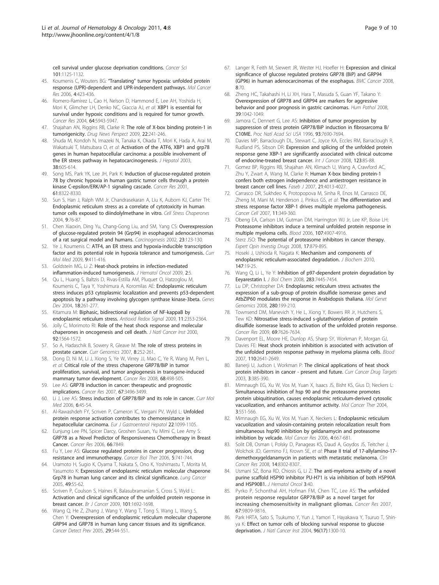<span id="page-8-0"></span>[cell survival under glucose deprivation conditions.](http://www.ncbi.nlm.nih.gov/pubmed/20210797?dopt=Abstract) Cancer Sci 101:1125-1132.

- 45. Koumenis C, Wouters BG: "Translating" [tumor hypoxia: unfolded protein](http://www.ncbi.nlm.nih.gov/pubmed/16849518?dopt=Abstract) [response \(UPR\)-dependent and UPR-independent pathways.](http://www.ncbi.nlm.nih.gov/pubmed/16849518?dopt=Abstract) Mol Cancer Res 2006, 4:423-436.
- 46. Romero-Ramirez L, Cao H, Nelson D, Hammond E, Lee AH, Yoshida H, Mori K, Glimcher LH, Denko NC, Giaccia AJ, et al: [XBP1 is essential for](http://www.ncbi.nlm.nih.gov/pubmed/15342372?dopt=Abstract) [survival under hypoxic conditions and is required for tumor growth.](http://www.ncbi.nlm.nih.gov/pubmed/15342372?dopt=Abstract) Cancer Res 2004, 64:5943-5947.
- 47. Shajahan AN, Riggins RB, Clarke R: [The role of X-box binding protein-1 in](http://www.ncbi.nlm.nih.gov/pubmed/19609461?dopt=Abstract) [tumorigenicity.](http://www.ncbi.nlm.nih.gov/pubmed/19609461?dopt=Abstract) Drug News Perspect 2009, 22:241-246.
- 48. Shuda M, Kondoh N, Imazeki N, Tanaka K, Okada T, Mori K, Hada A, Arai M, Wakatsuki T, Matsubara O, et al: [Activation of the ATF6, XBP1 and grp78](http://www.ncbi.nlm.nih.gov/pubmed/12713871?dopt=Abstract) [genes in human hepatocellular carcinoma: a possible involvement of](http://www.ncbi.nlm.nih.gov/pubmed/12713871?dopt=Abstract) [the ER stress pathway in hepatocarcinogenesis.](http://www.ncbi.nlm.nih.gov/pubmed/12713871?dopt=Abstract) J Hepatol 2003, 38:605-614.
- 49. Song MS, Park YK, Lee JH, Park K: [Induction of glucose-regulated protein](http://www.ncbi.nlm.nih.gov/pubmed/11719466?dopt=Abstract) [78 by chronic hypoxia in human gastric tumor cells through a protein](http://www.ncbi.nlm.nih.gov/pubmed/11719466?dopt=Abstract) [kinase C-epsilon/ERK/AP-1 signaling cascade.](http://www.ncbi.nlm.nih.gov/pubmed/11719466?dopt=Abstract) Cancer Res 2001, 61:8322-8330.
- 50. Sun S, Han J, Ralph WM Jr, Chandrasekaran A, Liu K, Auborn KJ, Carter TH: [Endoplasmic reticulum stress as a correlate of cytotoxicity in human](http://www.ncbi.nlm.nih.gov/pubmed/15270080?dopt=Abstract) [tumor cells exposed to diindolylmethane in vitro.](http://www.ncbi.nlm.nih.gov/pubmed/15270080?dopt=Abstract) Cell Stress Chaperones 2004, 9:76-87.
- 51. Chen Xiaoxin, Ding Yu, Chang-Gong Liu, and SM, Yang CS: [Overexpression](http://www.ncbi.nlm.nih.gov/pubmed/11756233?dopt=Abstract) [of glucose-regulated protein 94 \(Grp94\) in esophageal adenocarcinomas](http://www.ncbi.nlm.nih.gov/pubmed/11756233?dopt=Abstract) [of a rat surgical model and humans.](http://www.ncbi.nlm.nih.gov/pubmed/11756233?dopt=Abstract) Carcinogenesis 2002, 23:123-130.
- 52. Ye J, Koumenis C: [ATF4, an ER stress and hypoxia-inducible transcription](http://www.ncbi.nlm.nih.gov/pubmed/19519398?dopt=Abstract) [factor and its potential role in hypoxia tolerance and tumorigenesis.](http://www.ncbi.nlm.nih.gov/pubmed/19519398?dopt=Abstract) Curr Mol Med 2009, 9:411-416.
- 53. Goldstein MG, Li Z: [Heat-shock proteins in infection-mediated](http://www.ncbi.nlm.nih.gov/pubmed/19183457?dopt=Abstract) [inflammation-induced tumorigenesis.](http://www.ncbi.nlm.nih.gov/pubmed/19183457?dopt=Abstract) J Hematol Oncol 2009, 2:5.
- 54. Qu L, Huang S, Baltzis D, Rivas-Estilla AM, Pluquet O, Hatzoglou M, Koumenis C, Taya Y, Yoshimura A, Koromilas AE: [Endoplasmic reticulum](http://www.ncbi.nlm.nih.gov/pubmed/14744935?dopt=Abstract) [stress induces p53 cytoplasmic localization and prevents p53-dependent](http://www.ncbi.nlm.nih.gov/pubmed/14744935?dopt=Abstract) [apoptosis by a pathway involving glycogen synthase kinase-3beta.](http://www.ncbi.nlm.nih.gov/pubmed/14744935?dopt=Abstract) Genes Dev 2004, 18:261-277.
- 55. Kitamura M: [Biphasic, bidirectional regulation of NF-kappaB by](http://www.ncbi.nlm.nih.gov/pubmed/19187000?dopt=Abstract) [endoplasmic reticulum stress.](http://www.ncbi.nlm.nih.gov/pubmed/19187000?dopt=Abstract) Antioxid Redox Signal 2009, 11:2353-2364.
- 56. Jolly C, Morimoto RI: [Role of the heat shock response and molecular](http://www.ncbi.nlm.nih.gov/pubmed/11018092?dopt=Abstract) [chaperones in oncogenesis and cell death.](http://www.ncbi.nlm.nih.gov/pubmed/11018092?dopt=Abstract) J Natl Cancer Inst 2000, 92:1564-1572.
- 57. So A, Hadaschik B, Sowery R, Gleave M: [The role of stress proteins in](http://www.ncbi.nlm.nih.gov/pubmed/18645594?dopt=Abstract) [prostate](http://www.ncbi.nlm.nih.gov/pubmed/18645594?dopt=Abstract) cancer. Curr Genomics 2007, 8:252-261.
- 58. Dong D, Ni M, Li J, Xiong S, Ye W, Virrey JJ, Mao C, Ye R, Wang M, Pen L, et al: [Critical role of the stress chaperone GRP78/BiP in tumor](http://www.ncbi.nlm.nih.gov/pubmed/18199545?dopt=Abstract) [proliferation, survival, and tumor angiogenesis in transgene-induced](http://www.ncbi.nlm.nih.gov/pubmed/18199545?dopt=Abstract) [mammary tumor development.](http://www.ncbi.nlm.nih.gov/pubmed/18199545?dopt=Abstract) Cancer Res 2008, 68:498-505.
- 59. Lee AS: [GRP78 induction in cancer: therapeutic and prognostic](http://www.ncbi.nlm.nih.gov/pubmed/17440054?dopt=Abstract) [implications.](http://www.ncbi.nlm.nih.gov/pubmed/17440054?dopt=Abstract) Cancer Res 2007, 67:3496-3499.
- 60. Li J, Lee AS: [Stress induction of GRP78/BiP and its role in cancer.](http://www.ncbi.nlm.nih.gov/pubmed/16472112?dopt=Abstract) Curr Mol Med 2006, 6:45-54.
- 61. Al-Rawashdeh FY, Scriven P, Cameron IC, Vergani PV, Wyld L: [Unfolded](http://www.ncbi.nlm.nih.gov/pubmed/20177386?dopt=Abstract) [protein response activation contributes to chemoresistance in](http://www.ncbi.nlm.nih.gov/pubmed/20177386?dopt=Abstract) [hepatocellular carcinoma.](http://www.ncbi.nlm.nih.gov/pubmed/20177386?dopt=Abstract) Eur J Gastroenterol Hepatol 22:1099-1105.
- 62. Eunjung Lee PN, Spicer Darcy, Groshen Susan, Yu Mimi C, Lee Amy S: [GRP78 as a Novel Predictor of Responsiveness Chemotherapy in Breast](http://www.ncbi.nlm.nih.gov/pubmed/16912156?dopt=Abstract) [Cancer.](http://www.ncbi.nlm.nih.gov/pubmed/16912156?dopt=Abstract) Cancer Res 2006, 66:7849.
- 63. Fu Y, Lee AS: [Glucose regulated proteins in cancer progression, drug](http://www.ncbi.nlm.nih.gov/pubmed/16861902?dopt=Abstract) [resistance and immunotherapy.](http://www.ncbi.nlm.nih.gov/pubmed/16861902?dopt=Abstract) Cancer Biol Ther 2006, 5:741-744.
- 64. Uramoto H, Sugio K, Oyama T, Nakata S, Ono K, Yoshimastu T, Morita M, Yasumoto K: [Expression of endoplasmic reticulum molecular chaperone](http://www.ncbi.nlm.nih.gov/pubmed/15949590?dopt=Abstract) [Grp78 in human lung cancer and its clinical significance.](http://www.ncbi.nlm.nih.gov/pubmed/15949590?dopt=Abstract) Lung Cancer 2005, 49:55-62.
- 65. Scriven P, Coulson S, Haines R, Balasubramanian S, Cross S, Wyld L: [Activation and clinical significance of the unfolded protein response in](http://www.ncbi.nlm.nih.gov/pubmed/19861963?dopt=Abstract) [breast cancer.](http://www.ncbi.nlm.nih.gov/pubmed/19861963?dopt=Abstract) Br J Cancer 2009, 101:1692-1698.
- 66. Wang Q, He Z, Zhang J, Wang Y, Wang T, Tong S, Wang L, Wang S, Chen Y: [Overexpression of endoplasmic reticulum molecular chaperone](http://www.ncbi.nlm.nih.gov/pubmed/16297569?dopt=Abstract) [GRP94 and GRP78 in human lung cancer tissues and its significance.](http://www.ncbi.nlm.nih.gov/pubmed/16297569?dopt=Abstract) Cancer Detect Prev 2005, 29:544-551.
- 67. Langer R, Feith M, Siewert JR, Wester HJ, Hoefler H: [Expression and clinical](http://www.ncbi.nlm.nih.gov/pubmed/18331622?dopt=Abstract) [significance of glucose regulated proteins GRP78 \(BiP\) and GRP94](http://www.ncbi.nlm.nih.gov/pubmed/18331622?dopt=Abstract) [\(GP96\) in human adenocarcinomas of the esophagus.](http://www.ncbi.nlm.nih.gov/pubmed/18331622?dopt=Abstract) BMC Cancer 2008, 8:70.
- 68. Zheng HC, Takahashi H, Li XH, Hara T, Masuda S, Guan YF, Takano Y: [Overexpression of GRP78 and GRP94 are markers for aggressive](http://www.ncbi.nlm.nih.gov/pubmed/18482745?dopt=Abstract) [behavior and poor prognosis in gastric carcinomas.](http://www.ncbi.nlm.nih.gov/pubmed/18482745?dopt=Abstract) Hum Pathol 2008, 39:1042-1049.
- Jamora C, Dennert G, Lee AS: [Inhibition of tumor progression by](http://www.ncbi.nlm.nih.gov/pubmed/8755537?dopt=Abstract) [suppression of stress protein GRP78/BiP induction in fibrosarcoma B/](http://www.ncbi.nlm.nih.gov/pubmed/8755537?dopt=Abstract) [C10ME.](http://www.ncbi.nlm.nih.gov/pubmed/8755537?dopt=Abstract) Proc Natl Acad Sci USA 1996, 93:7690-7694.
- 70. Davies MP, Barraclough DL, Stewart C, Joyce KA, Eccles RM, Barraclough R, Rudland PS, Sibson DR: [Expression and splicing of the unfolded protein](http://www.ncbi.nlm.nih.gov/pubmed/18386815?dopt=Abstract) [response gene XBP-1 are significantly associated with clinical outcome](http://www.ncbi.nlm.nih.gov/pubmed/18386815?dopt=Abstract) [of endocrine-treated breast cancer.](http://www.ncbi.nlm.nih.gov/pubmed/18386815?dopt=Abstract) Int J Cancer 2008, 123:85-88.
- 71. Gomez BP, Riggins RB, Shajahan AN, Klimach U, Wang A, Crawford AC, Zhu Y, Zwart A, Wang M, Clarke R: Human [X-box binding protein-1](http://www.ncbi.nlm.nih.gov/pubmed/17660348?dopt=Abstract) [confers both estrogen independence and antiestrogen resistance in](http://www.ncbi.nlm.nih.gov/pubmed/17660348?dopt=Abstract) [breast cancer cell lines.](http://www.ncbi.nlm.nih.gov/pubmed/17660348?dopt=Abstract) Faseb J 2007, 21:4013-4027.
- 72. Carrasco DR, Sukhdeo K, Protopopova M, Sinha R, Enos M, Carrasco DE, Zheng M, Mani M, Henderson J, Pinkus GS, et al: [The differentiation and](http://www.ncbi.nlm.nih.gov/pubmed/17418411?dopt=Abstract) [stress response factor XBP-1 drives multiple myeloma pathogenesis.](http://www.ncbi.nlm.nih.gov/pubmed/17418411?dopt=Abstract) Cancer Cell 2007, 11:349-360.
- 73. Obeng EA, Carlson LM, Gutman DM, Harrington WJ Jr, Lee KP, Boise LH: [Proteasome inhibitors induce a terminal unfolded protein response in](http://www.ncbi.nlm.nih.gov/pubmed/16507771?dopt=Abstract) [multiple myeloma cells.](http://www.ncbi.nlm.nih.gov/pubmed/16507771?dopt=Abstract) Blood 2006, 107:4907-4916.
- 74. Sterz JSO: [The potential of proteasome inhibitors in cancer therapy.](http://www.ncbi.nlm.nih.gov/pubmed/18491989?dopt=Abstract) Expert Opin Investig Drugs 2008, 17:879-895.
- 75. Hoseki J, Ushioda R, Nagata K: [Mechanism and components of](http://www.ncbi.nlm.nih.gov/pubmed/19923195?dopt=Abstract) [endoplasmic reticulum-associated degradation.](http://www.ncbi.nlm.nih.gov/pubmed/19923195?dopt=Abstract) *J Biochem* 2010, 147:19-25.
- 76. Wang Q, Li L, Ye Y: [Inhibition of p97-dependent protein degradation by](http://www.ncbi.nlm.nih.gov/pubmed/18199748?dopt=Abstract) [Eeyarestatin I.](http://www.ncbi.nlm.nih.gov/pubmed/18199748?dopt=Abstract) J Biol Chem 2008, 283:7445-7454.
- 77. Lu DP, Christopher DA: [Endoplasmic reticulum stress activates the](http://www.ncbi.nlm.nih.gov/pubmed/18574595?dopt=Abstract) [expression of a sub-group of protein disulfide isomerase genes and](http://www.ncbi.nlm.nih.gov/pubmed/18574595?dopt=Abstract) [AtbZIP60 modulates the response in Arabidopsis thaliana.](http://www.ncbi.nlm.nih.gov/pubmed/18574595?dopt=Abstract) Mol Genet Genomics 2008, 280:199-210.
- 78. Townsend DM, Manevich Y, He L, Xiong Y, Bowers RR Jr, Hutchens S, Tew KD: [Nitrosative stress-induced s-glutathionylation of protein](http://www.ncbi.nlm.nih.gov/pubmed/19773442?dopt=Abstract) [disulfide isomerase leads to activation of the unfolded protein response.](http://www.ncbi.nlm.nih.gov/pubmed/19773442?dopt=Abstract) Cancer Res 2009, 69:7626-7634.
- 79. Davenport EL, Moore HE, Dunlop AS, Sharp SY, Workman P, Morgan GJ, Davies FE: [Heat shock protein inhibition is associated with activation of](http://www.ncbi.nlm.nih.gov/pubmed/17525289?dopt=Abstract) [the unfolded protein response pathway in myeloma plasma cells.](http://www.ncbi.nlm.nih.gov/pubmed/17525289?dopt=Abstract) Blood 2007, 110:2641-2649.
- 80. Banerji U, Judson I, Workman P: [The clinical applications of heat shock](http://www.ncbi.nlm.nih.gov/pubmed/14529390?dopt=Abstract) [protein inhibitors in cancer - present and future.](http://www.ncbi.nlm.nih.gov/pubmed/14529390?dopt=Abstract) Curr Cancer Drug Targets 2003, 3:385-390.
- 81. Mimnaugh EG, Xu W, Vos M, Yuan X, Isaacs JS, Bisht KS, Gius D, Neckers L: [Simultaneous inhibition of hsp 90 and the proteasome promotes](http://www.ncbi.nlm.nih.gov/pubmed/15141013?dopt=Abstract) [protein ubiquitination, causes endoplasmic reticulum-derived cytosolic](http://www.ncbi.nlm.nih.gov/pubmed/15141013?dopt=Abstract) [vacuolization, and enhances antitumor activity.](http://www.ncbi.nlm.nih.gov/pubmed/15141013?dopt=Abstract) Mol Cancer Ther 2004, 3:551-566.
- 82. Mimnaugh EG, Xu W, Vos M, Yuan X, Neckers L: [Endoplasmic reticulum](http://www.ncbi.nlm.nih.gov/pubmed/16966435?dopt=Abstract) [vacuolization and valosin-containing protein relocalization result from](http://www.ncbi.nlm.nih.gov/pubmed/16966435?dopt=Abstract) [simultaneous hsp90 inhibition by geldanamycin and proteasome](http://www.ncbi.nlm.nih.gov/pubmed/16966435?dopt=Abstract) [inhibition by velcade.](http://www.ncbi.nlm.nih.gov/pubmed/16966435?dopt=Abstract) Mol Cancer Res 2006, 4:667-681.
- Solit DB, Osman I, Polsky D, Panageas KS, Daud A, Goydos JS, Teitcher J, Wolchok JD, Germino FJ, Krown SE, et al: [Phase II trial of 17-allylamino-17](http://www.ncbi.nlm.nih.gov/pubmed/19088048?dopt=Abstract) [demethoxygeldanamycin in patients with metastatic melanoma.](http://www.ncbi.nlm.nih.gov/pubmed/19088048?dopt=Abstract) Clin Cancer Res 2008, 14:8302-8307.
- 84. Usmani SZ, Bona RD, Chiosis G, Li Z: The [anti-myeloma activity of a novel](http://www.ncbi.nlm.nih.gov/pubmed/20977755?dopt=Abstract) [purine scaffold HSP90 inhibitor PU-H71 is via inhibition of both HSP90A](http://www.ncbi.nlm.nih.gov/pubmed/20977755?dopt=Abstract) [and HSP90B1.](http://www.ncbi.nlm.nih.gov/pubmed/20977755?dopt=Abstract) J Hematol Oncol 3:40.
- 85. Pyrko P, Schonthal AH, Hofman FM, Chen TC, Lee AS: [The unfolded](http://www.ncbi.nlm.nih.gov/pubmed/17942911?dopt=Abstract) [protein response regulator GRP78/BiP as a novel target for](http://www.ncbi.nlm.nih.gov/pubmed/17942911?dopt=Abstract) [increasing chemosensitivity in malignant gliomas.](http://www.ncbi.nlm.nih.gov/pubmed/17942911?dopt=Abstract) Cancer Res 2007, 67:9809-9816.
- 86. Park HRTA, Sato S, Tsukumo Y, Yun J, Yamori T, Hayakawa Y, Tsuruo T, Shinya K: [Effect on tumor cells of blocking survival response to glucose](http://www.ncbi.nlm.nih.gov/pubmed/15339968?dopt=Abstract) [deprivation.](http://www.ncbi.nlm.nih.gov/pubmed/15339968?dopt=Abstract) J Natl Cancer Inst 2004, 96(17):1300-10.